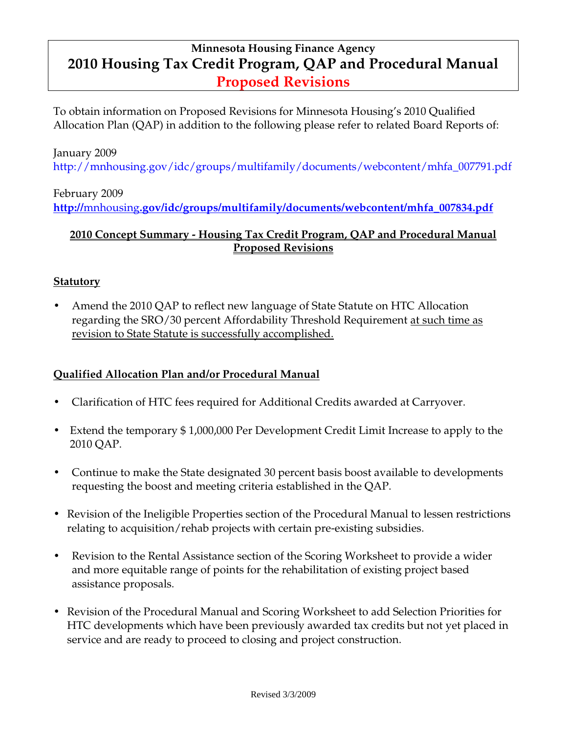# **Minnesota Housing Finance Agency 2010 Housing Tax Credit Program, QAP and Procedural Manual Proposed Revisions**

To obtain information on Proposed Revisions for Minnesota Housing's 2010 Qualified Allocation Plan (QAP) in addition to the following please refer to related Board Reports of:

#### January 2009

http://mnhousing.gov/idc/groups/multifamily/documents/webcontent/mhfa\_007791.pdf

## February 2009 **http://**mnhousing**[.gov/idc/groups/multifamily/documents/webcontent/mhfa\\_007834.pd](http://mnhousing.gov/idc/groups/multifamily/documents/webcontent/mhfa_007834.pdf)f**

### **2010 Concept Summary - Housing Tax Credit Program, QAP and Procedural Manual Proposed Revisions**

### **Statutory**

• Amend the 2010 QAP to reflect new language of State Statute on HTC Allocation regarding the SRO/30 percent Affordability Threshold Requirement at such time as revision to State Statute is successfully accomplished.

### **Qualified Allocation Plan and/or Procedural Manual**

- Clarification of HTC fees required for Additional Credits awarded at Carryover.
- Extend the temporary \$1,000,000 Per Development Credit Limit Increase to apply to the 2010 QAP.
- Continue to make the State designated 30 percent basis boost available to developments requesting the boost and meeting criteria established in the QAP.
- Revision of the Ineligible Properties section of the Procedural Manual to lessen restrictions relating to acquisition/rehab projects with certain pre-existing subsidies.
- Revision to the Rental Assistance section of the Scoring Worksheet to provide a wider and more equitable range of points for the rehabilitation of existing project based assistance proposals.
- Revision of the Procedural Manual and Scoring Worksheet to add Selection Priorities for HTC developments which have been previously awarded tax credits but not yet placed in service and are ready to proceed to closing and project construction.